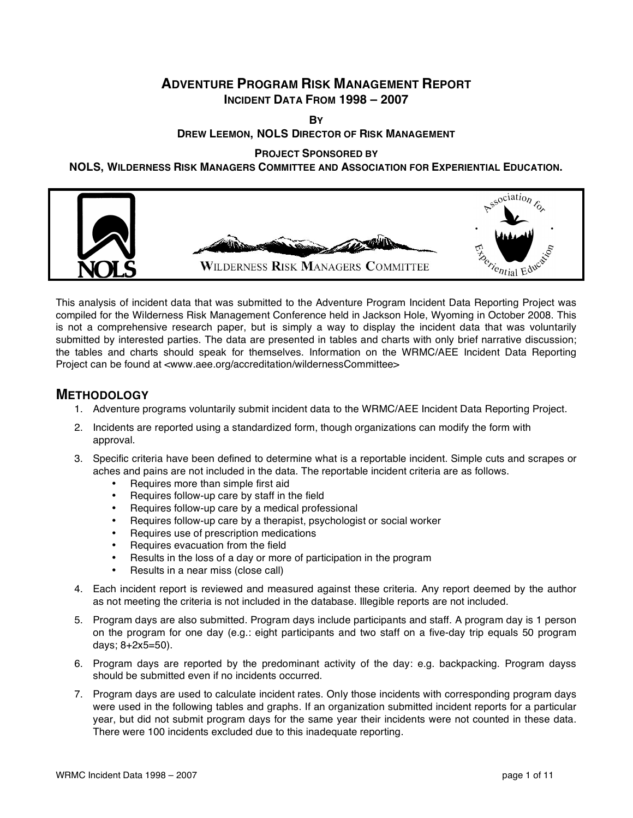# **ADVENTURE PROGRAM RISK MANAGEMENT REPORT INCIDENT DATA FROM 1998 – 2007**

**BY**

## **DREW LEEMON, NOLS DIRECTOR OF RISK MANAGEMENT**

**PROJECT SPONSORED BY**

**NOLS, WILDERNESS RISK MANAGERS COMMITTEE AND ASSOCIATION FOR EXPERIENTIAL EDUCATION.**



This analysis of incident data that was submitted to the Adventure Program Incident Data Reporting Project was compiled for the Wilderness Risk Management Conference held in Jackson Hole, Wyoming in October 2008. This is not a comprehensive research paper, but is simply a way to display the incident data that was voluntarily submitted by interested parties. The data are presented in tables and charts with only brief narrative discussion; the tables and charts should speak for themselves. Information on the WRMC/AEE Incident Data Reporting Project can be found at <www.aee.org/accreditation/wildernessCommittee>

## **METHODOLOGY**

- 1. Adventure programs voluntarily submit incident data to the WRMC/AEE Incident Data Reporting Project.
- 2. Incidents are reported using a standardized form, though organizations can modify the form with approval.
- 3. Specific criteria have been defined to determine what is a reportable incident. Simple cuts and scrapes or aches and pains are not included in the data. The reportable incident criteria are as follows.
	- Requires more than simple first aid
	- Requires follow-up care by staff in the field
	- Requires follow-up care by a medical professional
	- Requires follow-up care by a therapist, psychologist or social worker
	- Requires use of prescription medications
	- Requires evacuation from the field
	- Results in the loss of a day or more of participation in the program
	- Results in a near miss (close call)
- 4. Each incident report is reviewed and measured against these criteria. Any report deemed by the author as not meeting the criteria is not included in the database. Illegible reports are not included.
- 5. Program days are also submitted. Program days include participants and staff. A program day is 1 person on the program for one day (e.g.: eight participants and two staff on a five-day trip equals 50 program days; 8+2x5=50).
- 6. Program days are reported by the predominant activity of the day: e.g. backpacking. Program dayss should be submitted even if no incidents occurred.
- 7. Program days are used to calculate incident rates. Only those incidents with corresponding program days were used in the following tables and graphs. If an organization submitted incident reports for a particular year, but did not submit program days for the same year their incidents were not counted in these data. There were 100 incidents excluded due to this inadequate reporting.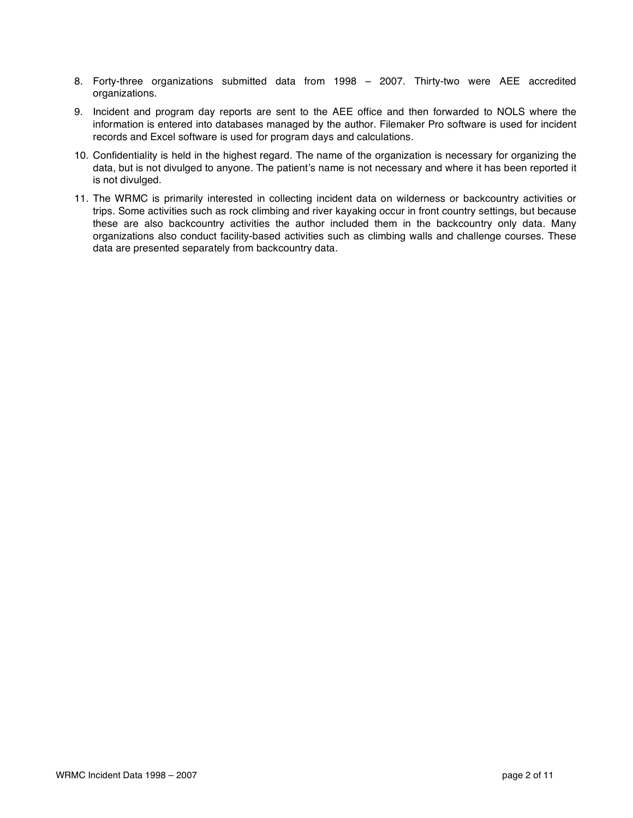- 8. Forty-three organizations submitted data from 1998 2007. Thirty-two were AEE accredited organizations.
- 9. Incident and program day reports are sent to the AEE office and then forwarded to NOLS where the information is entered into databases managed by the author. Filemaker Pro software is used for incident records and Excel software is used for program days and calculations.
- 10. Confidentiality is held in the highest regard. The name of the organization is necessary for organizing the data, but is not divulged to anyone. The patient's name is not necessary and where it has been reported it is not divulged.
- 11. The WRMC is primarily interested in collecting incident data on wilderness or backcountry activities or trips. Some activities such as rock climbing and river kayaking occur in front country settings, but because these are also backcountry activities the author included them in the backcountry only data. Many organizations also conduct facility-based activities such as climbing walls and challenge courses. These data are presented separately from backcountry data.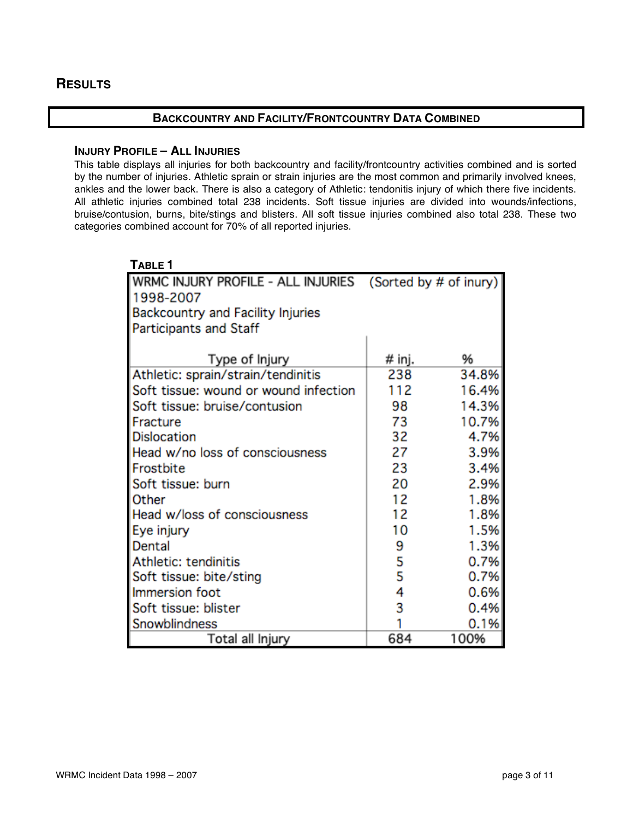# **RESULTS**

## **BACKCOUNTRY AND FACILITY/FRONTCOUNTRY DATA COMBINED**

## **INJURY PROFILE – ALL INJURIES**

This table displays all injuries for both backcountry and facility/frontcountry activities combined and is sorted by the number of injuries. Athletic sprain or strain injuries are the most common and primarily involved knees, ankles and the lower back. There is also a category of Athletic: tendonitis injury of which there five incidents. All athletic injuries combined total 238 incidents. Soft tissue injuries are divided into wounds/infections, bruise/contusion, burns, bite/stings and blisters. All soft tissue injuries combined also total 238. These two categories combined account for 70% of all reported injuries.

| TABLE 1                               |        |                        |
|---------------------------------------|--------|------------------------|
| WRMC INJURY PROFILE - ALL INJURIES    |        | (Sorted by # of inury) |
| 1998-2007                             |        |                        |
| Backcountry and Facility Injuries     |        |                        |
| <b>Participants and Staff</b>         |        |                        |
|                                       |        |                        |
| Type of Injury                        | # inj. | %                      |
| Athletic: sprain/strain/tendinitis    | 238    | 34.8%                  |
| Soft tissue: wound or wound infection | 112    | 16.4%                  |
| Soft tissue: bruise/contusion         | 98     | 14.3%                  |
| Fracture                              | 73     | 10.7%                  |
| <b>Dislocation</b>                    | 32     | 4.7%                   |
| Head w/no loss of consciousness       | 27     | 3.9%                   |
| Frostbite                             | 23     | 3.4%                   |
| Soft tissue: burn                     | 20     | 2.9%                   |
| Other                                 | 12     | 1.8%                   |
| Head w/loss of consciousness          | 12     | 1.8%                   |
| Eye injury                            | 10     | 1.5%                   |
| Dental                                | 9      | 1.3%                   |
| Athletic: tendinitis                  | 5      | 0.7%                   |
| Soft tissue: bite/sting               | 5      | 0.7%                   |
| Immersion foot                        | 4      | 0.6%                   |
| Soft tissue: blister                  | 3      | 0.4%                   |
| Snowblindness                         |        | 0.1%                   |
| Total all Injury                      | 684    | 100%                   |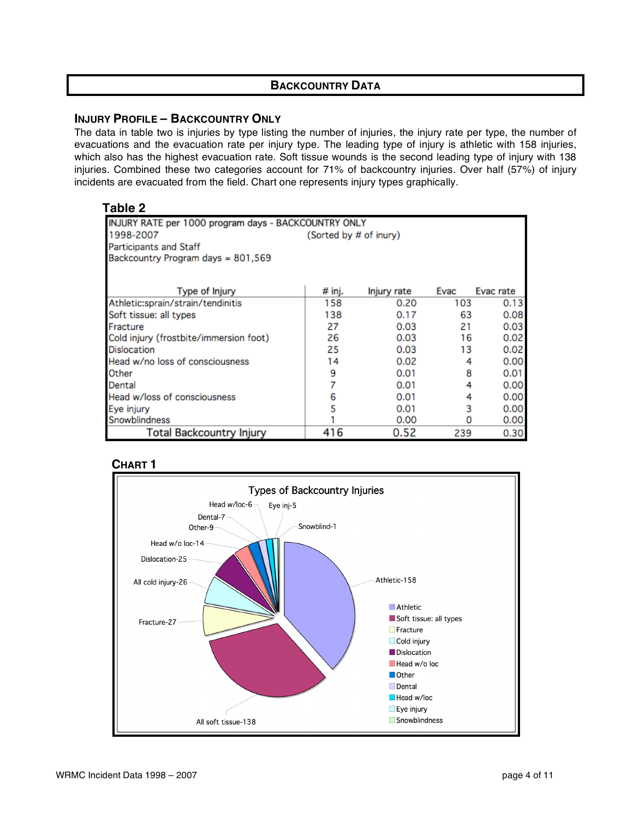## **BACKCOUNTRY DATA**

## **INJURY PROFILE – BACKCOUNTRY ONLY**

The data in table two is injuries by type listing the number of injuries, the injury rate per type, the number of evacuations and the evacuation rate per injury type. The leading type of injury is athletic with 158 injuries, which also has the highest evacuation rate. Soft tissue wounds is the second leading type of injury with 138 injuries. Combined these two categories account for 71% of backcountry injuries. Over half (57%) of injury incidents are evacuated from the field. Chart one represents injury types graphically.

## **Table 2**

| INJURY RATE per 1000 program days - BACKCOUNTRY ONLY |        |             |      |           |  |
|------------------------------------------------------|--------|-------------|------|-----------|--|
| 1998-2007<br>(Sorted by # of inury)                  |        |             |      |           |  |
| <b>Participants and Staff</b>                        |        |             |      |           |  |
| Backcountry Program days = 801,569                   |        |             |      |           |  |
|                                                      |        |             |      |           |  |
| Type of Injury                                       | # inj. | Injury rate | Evac | Evac rate |  |
| Athletic:sprain/strain/tendinitis                    | 158    | 0.20        | 103  | 0.13      |  |
| Soft tissue: all types                               | 138    | 0.17        | 63   | 0.08      |  |
| Fracture                                             | 27     | 0.03        | 21   | 0.03      |  |
| Cold injury (frostbite/immersion foot)               | 26     | 0.03        | 16   | 0.02      |  |
| <b>Dislocation</b>                                   | 25     | 0.03        | 13   | 0.02      |  |
| Head w/no loss of consciousness                      | 14     | 0.02        | 4    | 0.00      |  |
| Other                                                | 9      | 0.01        | 8    | 0.01      |  |
| Dental                                               |        | 0.01        | 4    | 0.00      |  |
| Head w/loss of consciousness                         | 6      | 0.01        | 4    | 0.00      |  |
| Eye injury                                           | 5      | 0.01        | 3    | 0.00      |  |
| Snowblindness                                        |        | 0.00        | 0    | 0.00      |  |
| <b>Total Backcountry Injury</b>                      | 416    | 0.52        | 239  | 0.30      |  |

## **CHART 1**

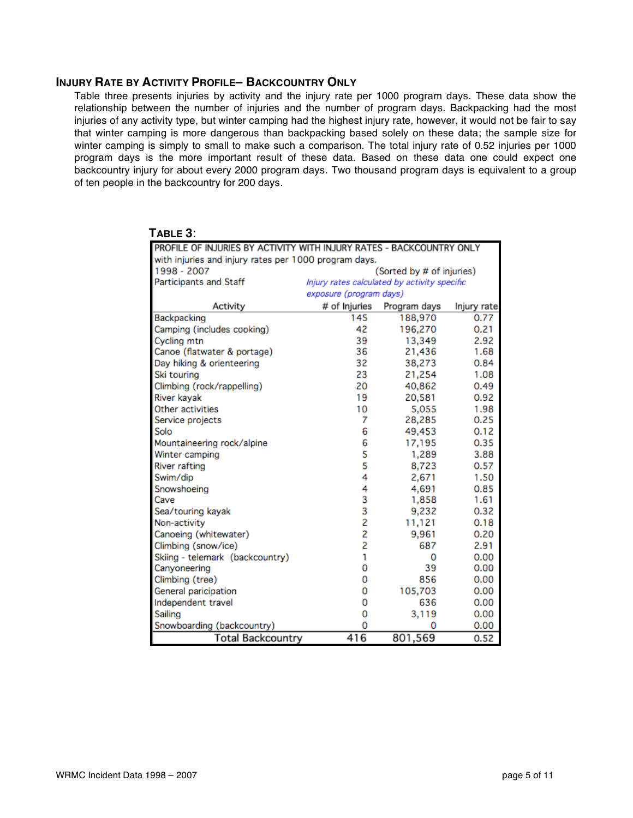#### **INJURY RATE BY ACTIVITY PROFILE– BACKCOUNTRY ONLY**

Table three presents injuries by activity and the injury rate per 1000 program days. These data show the relationship between the number of injuries and the number of program days. Backpacking had the most injuries of any activity type, but winter camping had the highest injury rate, however, it would not be fair to say that winter camping is more dangerous than backpacking based solely on these data; the sample size for winter camping is simply to small to make such a comparison. The total injury rate of 0.52 injuries per 1000 program days is the more important result of these data. Based on these data one could expect one backcountry injury for about every 2000 program days. Two thousand program days is equivalent to a group of ten people in the backcountry for 200 days.

| I ADLE J.                                                            |                                              |              |             |  |  |
|----------------------------------------------------------------------|----------------------------------------------|--------------|-------------|--|--|
| PROFILE OF INJURIES BY ACTIVITY WITH INJURY RATES - BACKCOUNTRY ONLY |                                              |              |             |  |  |
| with injuries and injury rates per 1000 program days.                |                                              |              |             |  |  |
| 1998 - 2007                                                          | (Sorted by # of injuries)                    |              |             |  |  |
| <b>Participants and Staff</b>                                        | Injury rates calculated by activity specific |              |             |  |  |
|                                                                      | exposure (program days)                      |              |             |  |  |
| Activity                                                             | # of Injuries                                | Program days | Injury rate |  |  |
| Backpacking                                                          | 145                                          | 188,970      | 0.77        |  |  |
| Camping (includes cooking)                                           | 42                                           | 196,270      | 0.21        |  |  |
| Cycling mtn                                                          | 39                                           | 13,349       | 2.92        |  |  |
| Canoe (flatwater & portage)                                          | 36                                           | 21,436       | 1.68        |  |  |
| Day hiking & orienteering                                            | 32                                           | 38,273       | 0.84        |  |  |
| Ski touring                                                          | 23                                           | 21,254       | 1.08        |  |  |
| Climbing (rock/rappelling)                                           | 20                                           | 40,862       | 0.49        |  |  |
| River kayak                                                          | 19                                           | 20,581       | 0.92        |  |  |
| Other activities                                                     | 10                                           | 5,055        | 1.98        |  |  |
| Service projects                                                     | 7                                            | 28,285       | 0.25        |  |  |
| Solo                                                                 | 6                                            | 49,453       | 0.12        |  |  |
| Mountaineering rock/alpine                                           | 6                                            | 17,195       | 0.35        |  |  |
| Winter camping                                                       | 5<br>5                                       | 1,289        | 3.88        |  |  |
| <b>River rafting</b>                                                 |                                              | 8,723        | 0.57        |  |  |
| Swim/dip                                                             | 4                                            | 2,671        | 1.50        |  |  |
| Snowshoeing                                                          | 4                                            | 4,691        | 0.85        |  |  |
| Cave                                                                 | 3                                            | 1,858        | 1.61        |  |  |
| Sea/touring kayak                                                    | 3                                            | 9,232        | 0.32        |  |  |
| Non-activity                                                         | 2                                            | 11,121       | 0.18        |  |  |
| Canoeing (whitewater)                                                | $\overline{c}$                               | 9,961        | 0.20        |  |  |
| Climbing (snow/ice)                                                  | 2                                            | 687          | 2.91        |  |  |
| Skiing - telemark (backcountry)                                      | 1                                            | 0            | 0.00        |  |  |
| Canyoneering                                                         | 0                                            | 39           | 0.00        |  |  |
| Climbing (tree)                                                      | 0                                            | 856          | 0.00        |  |  |
| General paricipation                                                 | 0                                            | 105,703      | 0.00        |  |  |
| Independent travel                                                   | 0                                            | 636          | 0.00        |  |  |
| Sailing                                                              | 0                                            | 3,119        | 0.00        |  |  |
| Snowboarding (backcountry)                                           | 0                                            | 0            | 0.00        |  |  |
| Total Backcountrv                                                    | 416                                          | 801.569      | 0.52        |  |  |

## **TABLE 3**: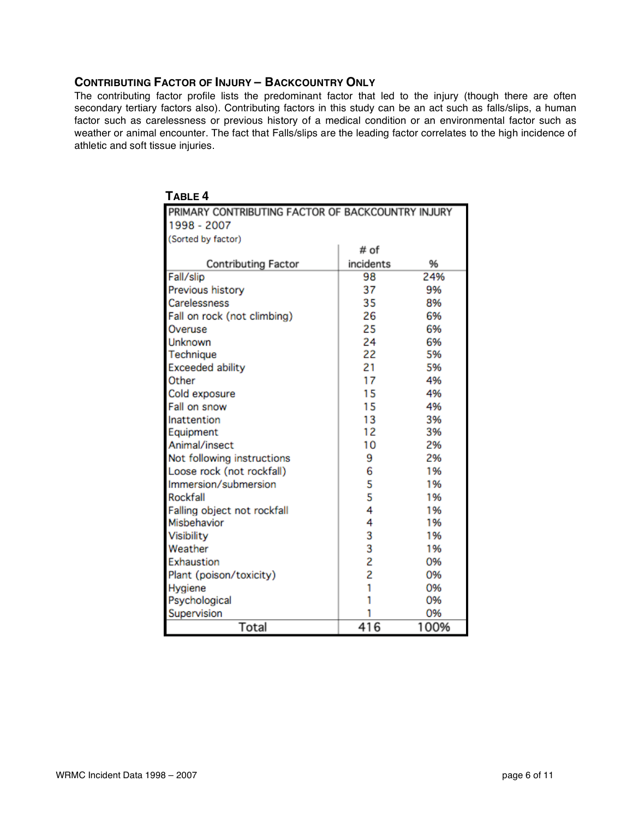## **CONTRIBUTING FACTOR OF INJURY – BACKCOUNTRY ONLY**

The contributing factor profile lists the predominant factor that led to the injury (though there are often secondary tertiary factors also). Contributing factors in this study can be an act such as falls/slips, a human factor such as carelessness or previous history of a medical condition or an environmental factor such as weather or animal encounter. The fact that Falls/slips are the leading factor correlates to the high incidence of athletic and soft tissue injuries.

| TABLE <sub>4</sub>                                |           |      |
|---------------------------------------------------|-----------|------|
| PRIMARY CONTRIBUTING FACTOR OF BACKCOUNTRY INJURY |           |      |
| 1998 - 2007                                       |           |      |
| (Sorted by factor)                                |           |      |
|                                                   | # of      |      |
| <b>Contributing Factor</b>                        | incidents | %    |
| Fall/slip                                         | 98        | 24%  |
| Previous history                                  | 37        | 9%   |
| Carelessness                                      | 35        | 8%   |
| Fall on rock (not climbing)                       | 26        | 6%   |
| Overuse                                           | 25        | 6%   |
| Unknown                                           | 24        | 6%   |
| Technique                                         | 22        | 5%   |
| <b>Exceeded ability</b>                           | 21        | 5%   |
| Other                                             | 17        | 4%   |
| Cold exposure                                     | 15        | 4%   |
| Fall on snow                                      | 15        | 4%   |
| Inattention                                       | 13        | 3%   |
| Equipment                                         | 12        | 3%   |
| Animal/insect                                     | 10        | 2%   |
| Not following instructions                        | 9         | 2%   |
| Loose rock (not rockfall)                         | 6         | 1%   |
| Immersion/submersion                              | 5         | 1%   |
| Rockfall                                          | 5         | 1%   |
| Falling object not rockfall                       | 4         | 1%   |
| Misbehavior                                       | 4         | 1%   |
| Visibility                                        | 3         | 1%   |
| Weather                                           | 3         | 1%   |
| Exhaustion                                        | 2         | 0%   |
| Plant (poison/toxicity)                           | 2         | 0%   |
| Hygiene                                           | 1         | 0%   |
| Psychological                                     | 1         | 0%   |
| Supervision                                       | 1         | 0%   |
| Total                                             | 416       | 100% |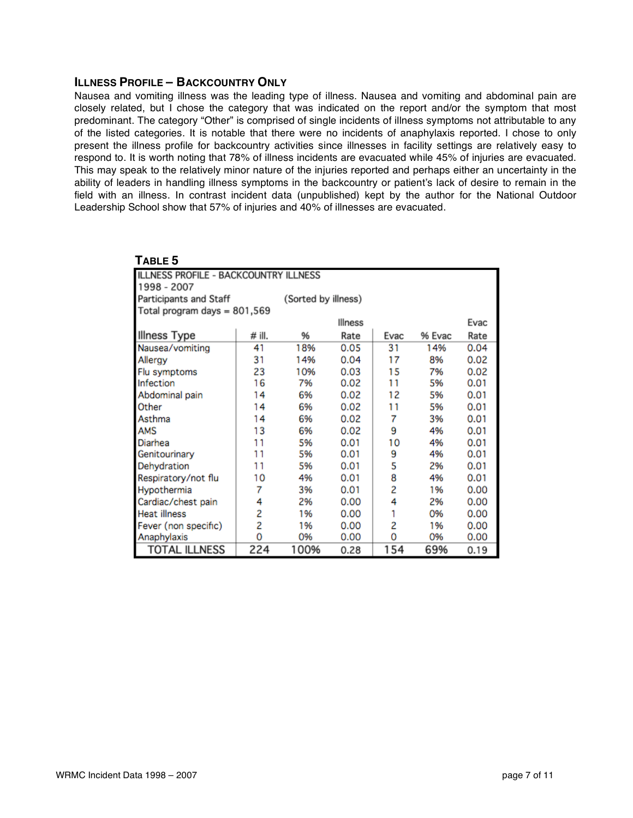#### **ILLNESS PROFILE – BACKCOUNTRY ONLY**

Nausea and vomiting illness was the leading type of illness. Nausea and vomiting and abdominal pain are closely related, but I chose the category that was indicated on the report and/or the symptom that most predominant. The category "Other" is comprised of single incidents of illness symptoms not attributable to any of the listed categories. It is notable that there were no incidents of anaphylaxis reported. I chose to only present the illness profile for backcountry activities since illnesses in facility settings are relatively easy to respond to. It is worth noting that 78% of illness incidents are evacuated while 45% of injuries are evacuated. This may speak to the relatively minor nature of the injuries reported and perhaps either an uncertainty in the ability of leaders in handling illness symptoms in the backcountry or patient's lack of desire to remain in the field with an illness. In contrast incident data (unpublished) kept by the author for the National Outdoor Leadership School show that 57% of injuries and 40% of illnesses are evacuated.

| Table 5                                      |        |                     |         |      |        |      |
|----------------------------------------------|--------|---------------------|---------|------|--------|------|
| <b>ILLNESS PROFILE - BACKCOUNTRY ILLNESS</b> |        |                     |         |      |        |      |
| 1998 - 2007                                  |        |                     |         |      |        |      |
| Participants and Staff                       |        | (Sorted by illness) |         |      |        |      |
| Total program days = 801,569                 |        |                     |         |      |        |      |
|                                              |        |                     | Illness |      |        | Evac |
| Illness Type                                 | # ill. | 96                  | Rate    | Evac | % Evac | Rate |
| Nausea/vomiting                              | 41     | 18%                 | 0.05    | 31   | 14%    | 0.04 |
| Allergy                                      | 31     | 14%                 | 0.04    | 17   | 8%     | 0.02 |
| Flu symptoms                                 | 23     | 10%                 | 0.03    | 15   | 7%     | 0.02 |
| Infection                                    | 16     | 7%                  | 0.02    | 11   | 5%     | 0.01 |
| Abdominal pain                               | 14     | 6%                  | 0.02    | 12   | 5%     | 0.01 |
| Other                                        | 14     | 6%                  | 0.02    | 11   | 5%     | 0.01 |
| Asthma                                       | 14     | 6%                  | 0.02    | 7    | 3%     | 0.01 |
| AMS                                          | 13     | 6%                  | 0.02    | 9    | 4%     | 0.01 |
| Diarhea                                      | 11     | 5%                  | 0.01    | 10   | 4%     | 0.01 |
| Genitourinary                                | 11     | 5%                  | 0.01    | 9    | 4%     | 0.01 |
| Dehydration                                  | 11     | 5%                  | 0.01    | 5    | 2%     | 0.01 |
| Respiratory/not flu                          | 10     | 4%                  | 0.01    | 8    | 4%     | 0.01 |
| Hypothermia                                  | 7      | 3%                  | 0.01    | 2    | 1%     | 0.00 |
| Cardiac/chest pain                           | 4      | 2%                  | 0.00    | 4    | 2%     | 0.00 |
| <b>Heat illness</b>                          | 2      | 1%                  | 0.00    | 1    | 0%     | 0.00 |
| Fever (non specific)                         | 2      | 1%                  | 0.00    | 2    | 1%     | 0.00 |
| Anaphylaxis                                  | 0      | 0%                  | 0.00    | 0    | 0%     | 0.00 |
| TOTAL ILLNESS                                | 224    | 100%                | 0.28    | 154  | 69%    | 0.19 |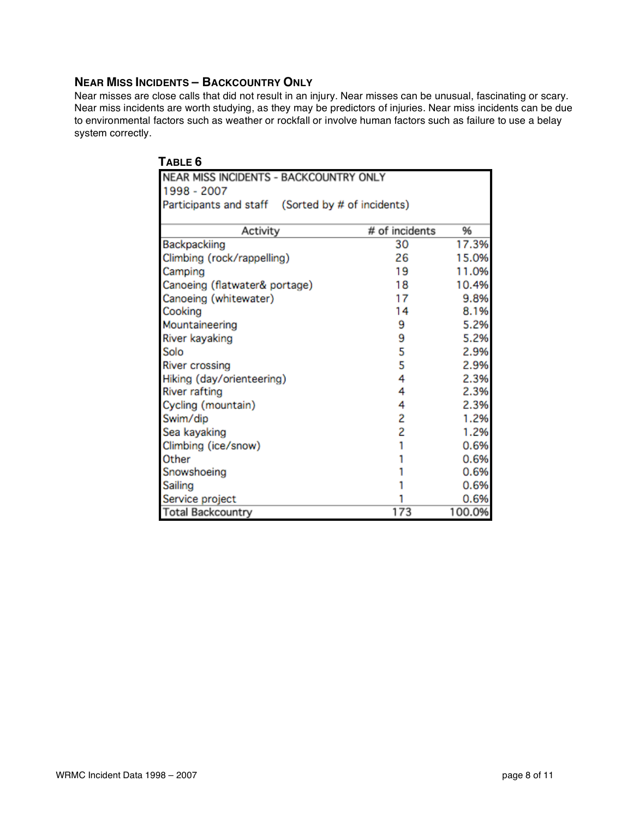## **NEAR MISS INCIDENTS – BACKCOUNTRY ONLY**

Near misses are close calls that did not result in an injury. Near misses can be unusual, fascinating or scary. Near miss incidents are worth studying, as they may be predictors of injuries. Near miss incidents can be due to environmental factors such as weather or rockfall or involve human factors such as failure to use a belay system correctly.

| TABLE 6                                           |                |        |  |  |
|---------------------------------------------------|----------------|--------|--|--|
| NEAR MISS INCIDENTS - BACKCOUNTRY ONLY            |                |        |  |  |
| 1998 - 2007                                       |                |        |  |  |
| Participants and staff (Sorted by # of incidents) |                |        |  |  |
|                                                   |                |        |  |  |
| Activity                                          | # of incidents | 96     |  |  |
| Backpackiing                                      | 30             | 17.3%  |  |  |
| Climbing (rock/rappelling)                        | 26             | 15.0%  |  |  |
| Camping                                           | 19             | 11.0%  |  |  |
| Canoeing (flatwater& portage)                     | 18             | 10.4%  |  |  |
| Canoeing (whitewater)                             | 17             | 9.8%   |  |  |
| Cooking                                           | 14             | 8.1%   |  |  |
| Mountaineering                                    | 9              | 5.2%   |  |  |
| River kayaking                                    | 9              | 5.2%   |  |  |
| Solo                                              | 5              | 2.9%   |  |  |
| <b>River crossing</b>                             | 5              | 2.9%   |  |  |
| Hiking (day/orienteering)                         | 4              | 2.3%   |  |  |
| <b>River rafting</b>                              | 4              | 2.3%   |  |  |
| Cycling (mountain)                                | 4              | 2.3%   |  |  |
| Swim/dip                                          | 2              | 1.2%   |  |  |
| Sea kayaking                                      | 2              | 1.2%   |  |  |
| Climbing (ice/snow)                               |                | 0.6%   |  |  |
| Other                                             |                | 0.6%   |  |  |
| Snowshoeing                                       |                | 0.6%   |  |  |
| Sailing                                           |                | 0.6%   |  |  |
| Service project                                   |                | 0.6%   |  |  |
| <b>Total Backcountry</b>                          | 173            | 100.0% |  |  |

# $T = -$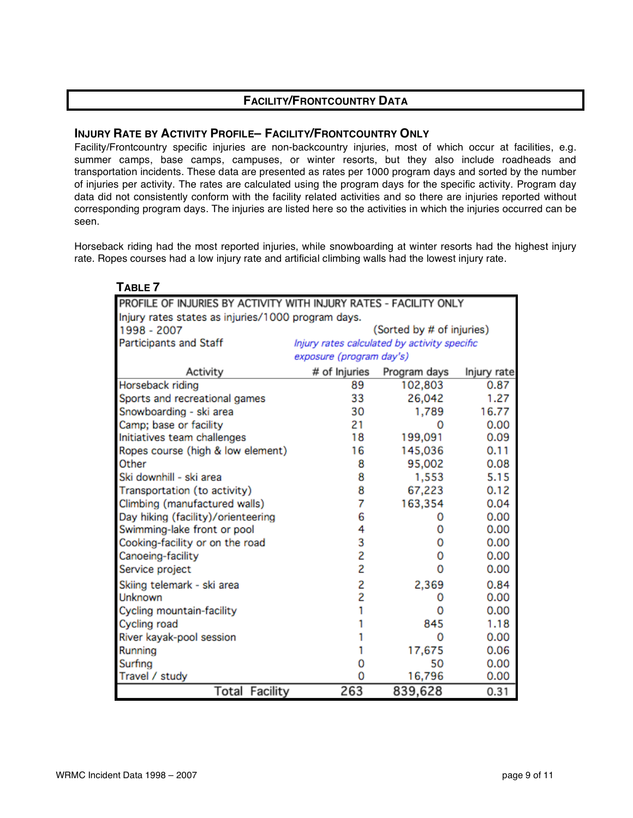# **FACILITY/FRONTCOUNTRY DATA**

## **INJURY RATE BY ACTIVITY PROFILE– FACILITY/FRONTCOUNTRY ONLY**

Facility/Frontcountry specific injuries are non-backcountry injuries, most of which occur at facilities, e.g. summer camps, base camps, campuses, or winter resorts, but they also include roadheads and transportation incidents. These data are presented as rates per 1000 program days and sorted by the number of injuries per activity. The rates are calculated using the program days for the specific activity. Program day data did not consistently conform with the facility related activities and so there are injuries reported without corresponding program days. The injuries are listed here so the activities in which the injuries occurred can be seen.

Horseback riding had the most reported injuries, while snowboarding at winter resorts had the highest injury rate. Ropes courses had a low injury rate and artificial climbing walls had the lowest injury rate.

| TABLE <sub>7</sub>                                                |                                                    |                           |             |  |  |  |  |
|-------------------------------------------------------------------|----------------------------------------------------|---------------------------|-------------|--|--|--|--|
| PROFILE OF INJURIES BY ACTIVITY WITH INJURY RATES - FACILITY ONLY |                                                    |                           |             |  |  |  |  |
|                                                                   | Injury rates states as injuries/1000 program days. |                           |             |  |  |  |  |
| 1998 - 2007                                                       |                                                    | (Sorted by # of injuries) |             |  |  |  |  |
| <b>Participants and Staff</b>                                     | Injury rates calculated by activity specific       |                           |             |  |  |  |  |
|                                                                   | exposure (program day's)                           |                           |             |  |  |  |  |
| Activity                                                          | # of Injuries                                      | Program days              | Injury rate |  |  |  |  |
| Horseback riding                                                  | 89                                                 | 102,803                   | 0.87        |  |  |  |  |
| Sports and recreational games                                     | 33                                                 | 26,042                    | 1.27        |  |  |  |  |
| Snowboarding - ski area                                           | 30                                                 | 1,789                     | 16.77       |  |  |  |  |
| Camp; base or facility                                            | 21                                                 | ο                         | 0.00        |  |  |  |  |
| Initiatives team challenges                                       | 18                                                 | 199,091                   | 0.09        |  |  |  |  |
| Ropes course (high & low element)                                 | 16                                                 | 145,036                   | 0.11        |  |  |  |  |
| Other                                                             | 8                                                  | 95,002                    | 0.08        |  |  |  |  |
| Ski downhill - ski area                                           | 8                                                  | 1,553                     | 5.15        |  |  |  |  |
| Transportation (to activity)                                      | 8                                                  | 67,223                    | 0.12        |  |  |  |  |
| Climbing (manufactured walls)                                     | 7                                                  | 163,354                   | 0.04        |  |  |  |  |
| Day hiking (facility)/orienteering                                | 6                                                  | Ω                         | 0.00        |  |  |  |  |
| Swimming-lake front or pool                                       | 4                                                  | ο                         | 0.00        |  |  |  |  |
| Cooking-facility or on the road                                   | 3                                                  | 0                         | 0.00        |  |  |  |  |
| Canoeing-facility                                                 | $\overline{c}$                                     | o                         | 0.00        |  |  |  |  |
| Service project                                                   | $\overline{c}$                                     | $\Omega$                  | 0.00        |  |  |  |  |
| Skiing telemark - ski area                                        |                                                    | 2,369                     | 0.84        |  |  |  |  |
| Unknown                                                           | 2<br>2                                             |                           | 0.00        |  |  |  |  |
| Cycling mountain-facility                                         |                                                    | Ω                         | 0.00        |  |  |  |  |
| Cycling road                                                      |                                                    | 845                       | 1.18        |  |  |  |  |
| River kayak-pool session                                          |                                                    | 0                         | 0.00        |  |  |  |  |
| Running                                                           |                                                    | 17,675                    | 0.06        |  |  |  |  |
| Surfing                                                           | O                                                  | 50                        | 0.00        |  |  |  |  |
| Travel / study                                                    | 0                                                  | 16,796                    | 0.00        |  |  |  |  |
| Total Facility                                                    | 263                                                | 839,628                   | 0.31        |  |  |  |  |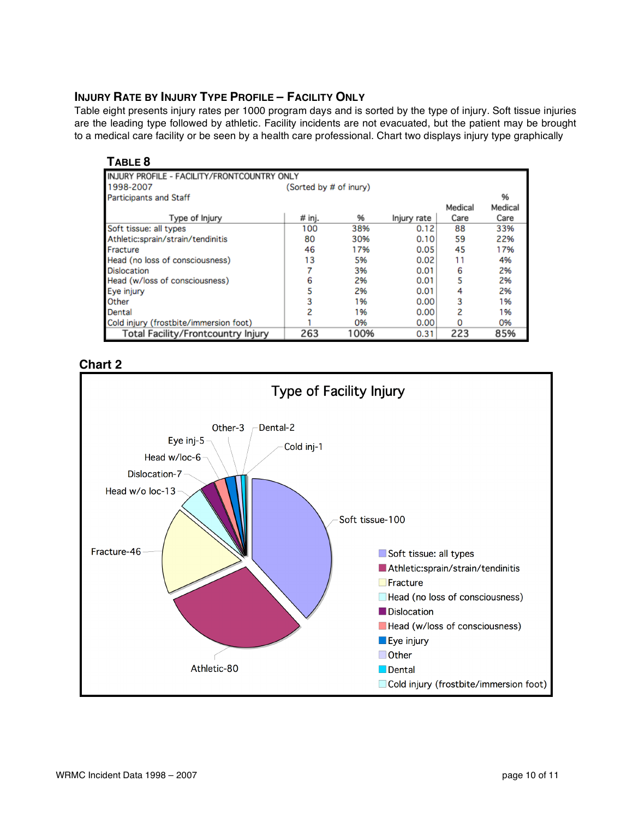# **INJURY RATE BY INJURY TYPE PROFILE – FACILITY ONLY**

Table eight presents injury rates per 1000 program days and is sorted by the type of injury. Soft tissue injuries are the leading type followed by athletic. Facility incidents are not evacuated, but the patient may be brought to a medical care facility or be seen by a health care professional. Chart two displays injury type graphically

| В<br>ω<br> |
|------------|
|------------|

| INJURY PROFILE - FACILITY/FRONTCOUNTRY ONLY |                        |      |             |         |         |
|---------------------------------------------|------------------------|------|-------------|---------|---------|
| 1998-2007                                   | (Sorted by # of inury) |      |             |         |         |
| <b>Participants and Staff</b>               |                        |      |             |         | 96      |
|                                             |                        |      |             | Medical | Medical |
| Type of Injury                              | $#$ inj.               | 96   | Injury rate | Care    | Care    |
| Soft tissue: all types                      | 100                    | 38%  | 0.12        | 88      | 33%     |
| Athletic:sprain/strain/tendinitis           | 80                     | 30%  | 0.10        | 59      | 22%     |
| Fracture                                    | 46                     | 17%  | 0.05        | 45      | 17%     |
| Head (no loss of consciousness)             | 13                     | 5%   | 0.02        | 11      | 4%      |
| Dislocation                                 |                        | 3%   | 0.01        | 6       | 2%      |
| Head (w/loss of consciousness)              | 6                      | 2%   | 0.01        | 5       | 2%      |
| Eye injury                                  |                        | 2%   | 0.01        | 4       | 2%      |
| Other                                       | 3                      | 1%   | 0.00        | 3       | 1%      |
| Dental                                      | 2                      | 1%   | 0.00        | 2       | 1%      |
| Cold injury (frostbite/immersion foot)      |                        | 0%   | 0.00        | n       | 0%      |
| Total Facility/Frontcountry Injury          | 263                    | 100% | 0.31        | 223     | 85%     |

**Chart 2**